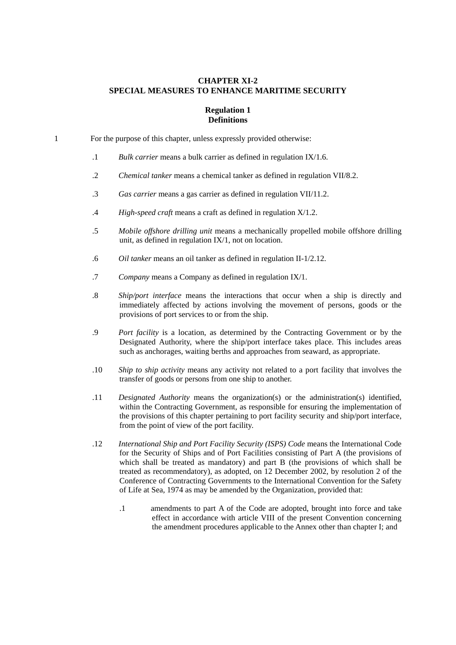# **CHAPTER XI-2 SPECIAL MEASURES TO ENHANCE MARITIME SECURITY**

#### **Regulation 1 Definitions**

1 For the purpose of this chapter, unless expressly provided otherwise:

- .1 *Bulk carrier* means a bulk carrier as defined in regulation IX/1.6.
- .2 *Chemical tanker* means a chemical tanker as defined in regulation VII/8.2.
- .3 *Gas carrier* means a gas carrier as defined in regulation VII/11.2.
- .4 *High-speed craft* means a craft as defined in regulation X/1.2.
- .5 *Mobile offshore drilling unit* means a mechanically propelled mobile offshore drilling unit, as defined in regulation IX/1, not on location.
- .6 *Oil tanker* means an oil tanker as defined in regulation II-1/2.12.
- .7 *Company* means a Company as defined in regulation IX/1.
- .8 *Ship/port interface* means the interactions that occur when a ship is directly and immediately affected by actions involving the movement of persons, goods or the provisions of port services to or from the ship.
- .9 *Port facility* is a location, as determined by the Contracting Government or by the Designated Authority, where the ship/port interface takes place. This includes areas such as anchorages, waiting berths and approaches from seaward, as appropriate.
- .10 *Ship to ship activity* means any activity not related to a port facility that involves the transfer of goods or persons from one ship to another.
- .11 *Designated Authority* means the organization(s) or the administration(s) identified, within the Contracting Government, as responsible for ensuring the implementation of the provisions of this chapter pertaining to port facility security and ship/port interface, from the point of view of the port facility.
- .12 *International Ship and Port Facility Security (ISPS) Code* means the International Code for the Security of Ships and of Port Facilities consisting of Part A (the provisions of which shall be treated as mandatory) and part B (the provisions of which shall be treated as recommendatory), as adopted, on 12 December 2002, by resolution 2 of the Conference of Contracting Governments to the International Convention for the Safety of Life at Sea, 1974 as may be amended by the Organization, provided that:
	- .1 amendments to part A of the Code are adopted, brought into force and take effect in accordance with article VIII of the present Convention concerning the amendment procedures applicable to the Annex other than chapter I; and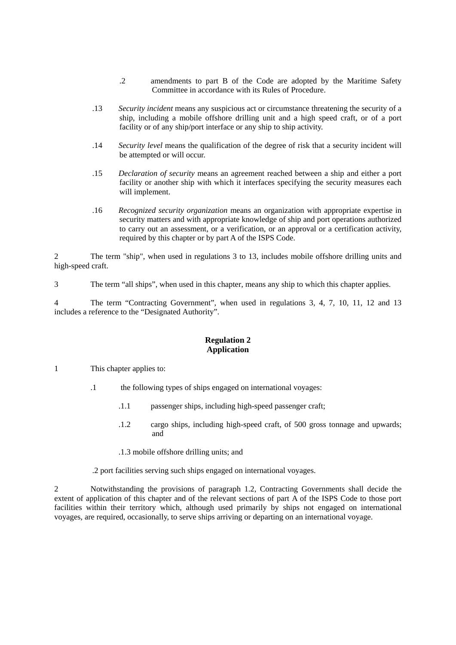- .2 amendments to part B of the Code are adopted by the Maritime Safety Committee in accordance with its Rules of Procedure.
- .13 *Security incident* means any suspicious act or circumstance threatening the security of a ship, including a mobile offshore drilling unit and a high speed craft, or of a port facility or of any ship/port interface or any ship to ship activity.
- .14 *Security level* means the qualification of the degree of risk that a security incident will be attempted or will occur.
- .15 *Declaration of security* means an agreement reached between a ship and either a port facility or another ship with which it interfaces specifying the security measures each will implement.
- .16 *Recognized security organization* means an organization with appropriate expertise in security matters and with appropriate knowledge of ship and port operations authorized to carry out an assessment, or a verification, or an approval or a certification activity, required by this chapter or by part A of the ISPS Code.

2 The term "ship", when used in regulations 3 to 13, includes mobile offshore drilling units and high-speed craft.

3 The term "all ships", when used in this chapter, means any ship to which this chapter applies.

4 The term "Contracting Government", when used in regulations 3, 4, 7, 10, 11, 12 and 13 includes a reference to the "Designated Authority".

# **Regulation 2 Application**

- 1 This chapter applies to:
	- .1 the following types of ships engaged on international voyages:
		- .1.1 passenger ships, including high-speed passenger craft;
		- .1.2 cargo ships, including high-speed craft, of 500 gross tonnage and upwards; and
		- .1.3 mobile offshore drilling units; and

.2 port facilities serving such ships engaged on international voyages.

2 Notwithstanding the provisions of paragraph 1.2, Contracting Governments shall decide the extent of application of this chapter and of the relevant sections of part A of the ISPS Code to those port facilities within their territory which, although used primarily by ships not engaged on international voyages, are required, occasionally, to serve ships arriving or departing on an international voyage.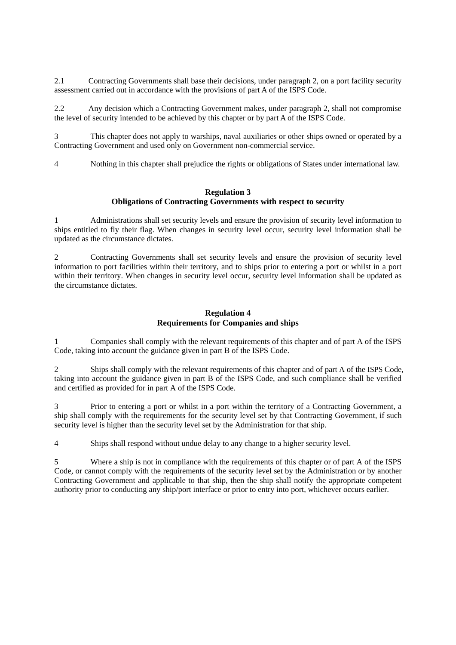2.1 Contracting Governments shall base their decisions, under paragraph 2, on a port facility security assessment carried out in accordance with the provisions of part A of the ISPS Code.

2.2 Any decision which a Contracting Government makes, under paragraph 2, shall not compromise the level of security intended to be achieved by this chapter or by part A of the ISPS Code.

3 This chapter does not apply to warships, naval auxiliaries or other ships owned or operated by a Contracting Government and used only on Government non-commercial service.

4 Nothing in this chapter shall prejudice the rights or obligations of States under international law.

### **Regulation 3 Obligations of Contracting Governments with respect to security**

1 Administrations shall set security levels and ensure the provision of security level information to ships entitled to fly their flag. When changes in security level occur, security level information shall be updated as the circumstance dictates.

2 Contracting Governments shall set security levels and ensure the provision of security level information to port facilities within their territory, and to ships prior to entering a port or whilst in a port within their territory. When changes in security level occur, security level information shall be updated as the circumstance dictates.

### **Regulation 4 Requirements for Companies and ships**

1 Companies shall comply with the relevant requirements of this chapter and of part A of the ISPS Code*,* taking into account the guidance given in part B of the ISPS Code.

2 Ships shall comply with the relevant requirements of this chapter and of part A of the ISPS Code*,*  taking into account the guidance given in part B of the ISPS Code, and such compliance shall be verified and certified as provided for in part A of the ISPS Code.

3 Prior to entering a port or whilst in a port within the territory of a Contracting Government, a ship shall comply with the requirements for the security level set by that Contracting Government, if such security level is higher than the security level set by the Administration for that ship.

4 Ships shall respond without undue delay to any change to a higher security level.

5 Where a ship is not in compliance with the requirements of this chapter or of part A of the ISPS Code*,* or cannot comply with the requirements of the security level set by the Administration or by another Contracting Government and applicable to that ship, then the ship shall notify the appropriate competent authority prior to conducting any ship/port interface or prior to entry into port, whichever occurs earlier.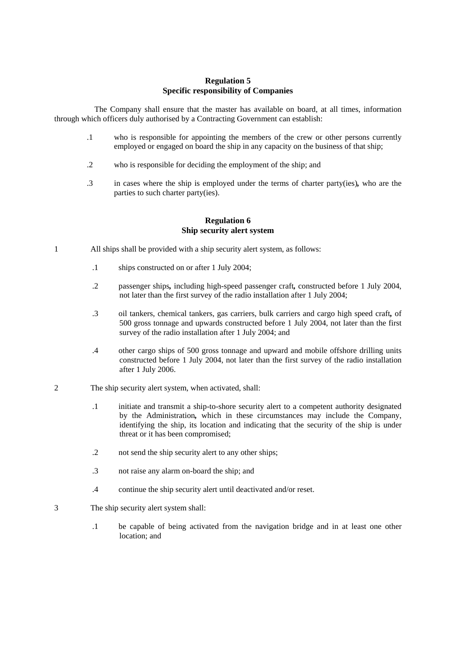# **Regulation 5 Specific responsibility of Companies**

The Company shall ensure that the master has available on board, at all times, information through which officers duly authorised by a Contracting Government can establish:

- .1 who is responsible for appointing the members of the crew or other persons currently employed or engaged on board the ship in any capacity on the business of that ship;
- .2 who is responsible for deciding the employment of the ship; and
- .3 in cases where the ship is employed under the terms of charter party(ies)*,* who are the parties to such charter party(ies).

#### **Regulation 6 Ship security alert system**

- 1 All ships shall be provided with a ship security alert system, as follows:
	- .1 ships constructed on or after 1 July 2004;
	- .2 passenger ships*,* including high-speed passenger craft*,* constructed before 1 July 2004, not later than the first survey of the radio installation after 1 July 2004;
	- .3 oil tankers, chemical tankers, gas carriers, bulk carriers and cargo high speed craft*,* of 500 gross tonnage and upwards constructed before 1 July 2004, not later than the first survey of the radio installation after 1 July 2004; and
	- .4 other cargo ships of 500 gross tonnage and upward and mobile offshore drilling units constructed before 1 July 2004, not later than the first survey of the radio installation after 1 July 2006.
- 2 The ship security alert system, when activated, shall:
	- .1 initiate and transmit a ship-to-shore security alert to a competent authority designated by the Administration*,* which in these circumstances may include the Company, identifying the ship, its location and indicating that the security of the ship is under threat or it has been compromised;
	- .2 not send the ship security alert to any other ships;
	- .3 not raise any alarm on-board the ship; and
	- .4 continue the ship security alert until deactivated and/or reset.
- 3 The ship security alert system shall:
	- .1 be capable of being activated from the navigation bridge and in at least one other location; and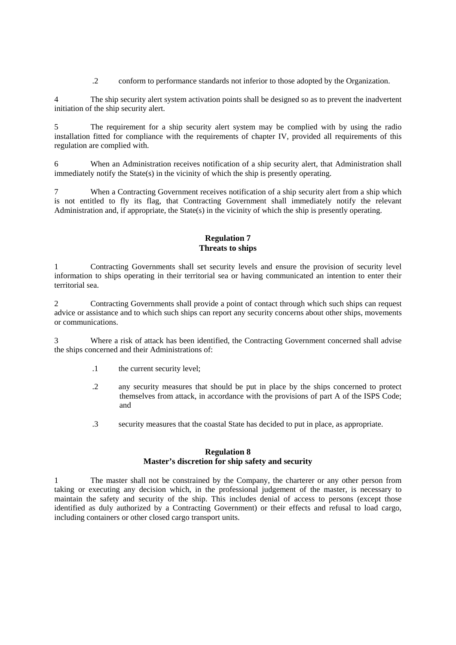.2 conform to performance standards not inferior to those adopted by the Organization.

The ship security alert system activation points shall be designed so as to prevent the inadvertent initiation of the ship security alert.

5 The requirement for a ship security alert system may be complied with by using the radio installation fitted for compliance with the requirements of chapter IV, provided all requirements of this regulation are complied with.

6 When an Administration receives notification of a ship security alert, that Administration shall immediately notify the State(s) in the vicinity of which the ship is presently operating.

7 When a Contracting Government receives notification of a ship security alert from a ship which is not entitled to fly its flag, that Contracting Government shall immediately notify the relevant Administration and, if appropriate, the State(s) in the vicinity of which the ship is presently operating.

# **Regulation 7 Threats to ships**

1 Contracting Governments shall set security levels and ensure the provision of security level information to ships operating in their territorial sea or having communicated an intention to enter their territorial sea.

2 Contracting Governments shall provide a point of contact through which such ships can request advice or assistance and to which such ships can report any security concerns about other ships, movements or communications.

3 Where a risk of attack has been identified, the Contracting Government concerned shall advise the ships concerned and their Administrations of:

- .1 the current security level;
- .2 any security measures that should be put in place by the ships concerned to protect themselves from attack, in accordance with the provisions of part A of the ISPS Code; and
- .3 security measures that the coastal State has decided to put in place, as appropriate.

# **Regulation 8 Master's discretion for ship safety and security**

1 The master shall not be constrained by the Company, the charterer or any other person from taking or executing any decision which, in the professional judgement of the master, is necessary to maintain the safety and security of the ship. This includes denial of access to persons (except those identified as duly authorized by a Contracting Government) or their effects and refusal to load cargo, including containers or other closed cargo transport units.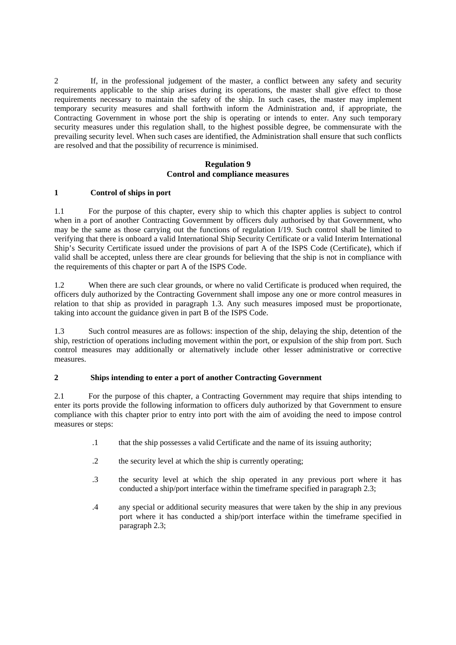2 If, in the professional judgement of the master, a conflict between any safety and security requirements applicable to the ship arises during its operations, the master shall give effect to those requirements necessary to maintain the safety of the ship. In such cases, the master may implement temporary security measures and shall forthwith inform the Administration and, if appropriate, the Contracting Government in whose port the ship is operating or intends to enter. Any such temporary security measures under this regulation shall, to the highest possible degree, be commensurate with the prevailing security level. When such cases are identified, the Administration shall ensure that such conflicts are resolved and that the possibility of recurrence is minimised.

### **Regulation 9 Control and compliance measures**

# **1 Control of ships in port**

1.1 For the purpose of this chapter, every ship to which this chapter applies is subject to control when in a port of another Contracting Government by officers duly authorised by that Government, who may be the same as those carrying out the functions of regulation I/19. Such control shall be limited to verifying that there is onboard a valid International Ship Security Certificate or a valid Interim International Ship's Security Certificate issued under the provisions of part A of the ISPS Code (Certificate), which if valid shall be accepted, unless there are clear grounds for believing that the ship is not in compliance with the requirements of this chapter or part A of the ISPS Code.

1.2 When there are such clear grounds, or where no valid Certificate is produced when required, the officers duly authorized by the Contracting Government shall impose any one or more control measures in relation to that ship as provided in paragraph 1.3. Any such measures imposed must be proportionate, taking into account the guidance given in part B of the ISPS Code.

1.3 Such control measures are as follows: inspection of the ship, delaying the ship, detention of the ship, restriction of operations including movement within the port, or expulsion of the ship from port. Such control measures may additionally or alternatively include other lesser administrative or corrective measures.

## **2 Ships intending to enter a port of another Contracting Government**

2.1 For the purpose of this chapter, a Contracting Government may require that ships intending to enter its ports provide the following information to officers duly authorized by that Government to ensure compliance with this chapter prior to entry into port with the aim of avoiding the need to impose control measures or steps:

- .1 that the ship possesses a valid Certificate and the name of its issuing authority;
- .2 the security level at which the ship is currently operating;
- .3 the security level at which the ship operated in any previous port where it has conducted a ship/port interface within the timeframe specified in paragraph 2.3;
- .4 any special or additional security measures that were taken by the ship in any previous port where it has conducted a ship/port interface within the timeframe specified in paragraph 2.3;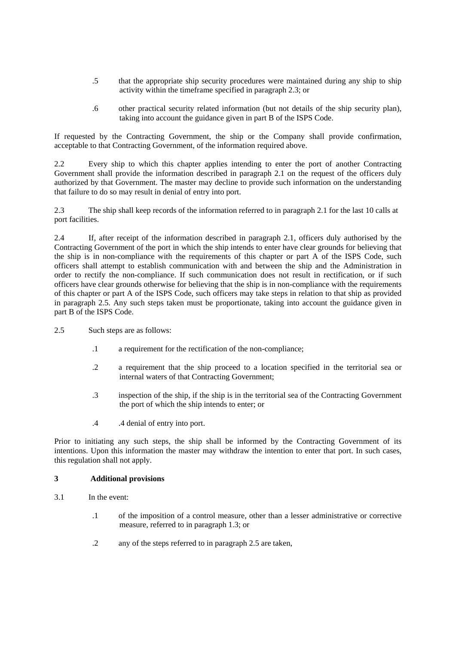- .5 that the appropriate ship security procedures were maintained during any ship to ship activity within the timeframe specified in paragraph 2.3; or
- .6 other practical security related information (but not details of the ship security plan), taking into account the guidance given in part B of the ISPS Code.

If requested by the Contracting Government, the ship or the Company shall provide confirmation, acceptable to that Contracting Government, of the information required above.

2.2 Every ship to which this chapter applies intending to enter the port of another Contracting Government shall provide the information described in paragraph 2.1 on the request of the officers duly authorized by that Government. The master may decline to provide such information on the understanding that failure to do so may result in denial of entry into port.

2.3 The ship shall keep records of the information referred to in paragraph 2.1 for the last 10 calls at port facilities.

2.4 If, after receipt of the information described in paragraph 2.1, officers duly authorised by the Contracting Government of the port in which the ship intends to enter have clear grounds for believing that the ship is in non-compliance with the requirements of this chapter or part A of the ISPS Code, such officers shall attempt to establish communication with and between the ship and the Administration in order to rectify the non-compliance. If such communication does not result in rectification, or if such officers have clear grounds otherwise for believing that the ship is in non-compliance with the requirements of this chapter or part A of the ISPS Code, such officers may take steps in relation to that ship as provided in paragraph 2.5. Any such steps taken must be proportionate, taking into account the guidance given in part B of the ISPS Code.

- 2.5 Such steps are as follows:
	- .1 a requirement for the rectification of the non-compliance;
	- .2 a requirement that the ship proceed to a location specified in the territorial sea or internal waters of that Contracting Government;
	- .3 inspection of the ship, if the ship is in the territorial sea of the Contracting Government the port of which the ship intends to enter; or
	- .4 .4 denial of entry into port.

Prior to initiating any such steps, the ship shall be informed by the Contracting Government of its intentions. Upon this information the master may withdraw the intention to enter that port. In such cases, this regulation shall not apply.

#### **3 Additional provisions**

- 3.1 In the event:
	- .1 of the imposition of a control measure, other than a lesser administrative or corrective measure, referred to in paragraph 1.3; or
	- .2 any of the steps referred to in paragraph 2.5 are taken,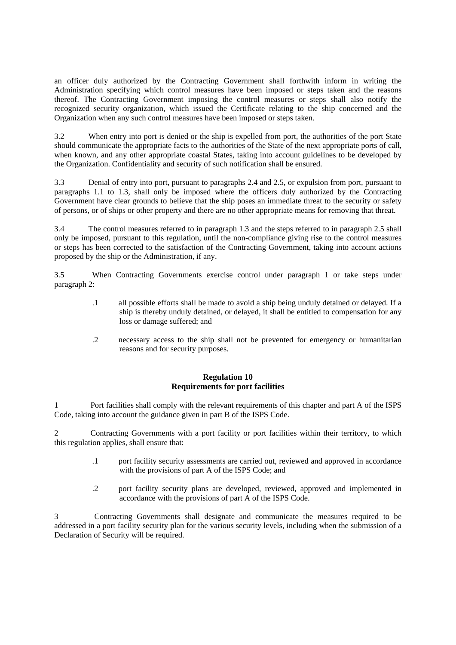an officer duly authorized by the Contracting Government shall forthwith inform in writing the Administration specifying which control measures have been imposed or steps taken and the reasons thereof. The Contracting Government imposing the control measures or steps shall also notify the recognized security organization, which issued the Certificate relating to the ship concerned and the Organization when any such control measures have been imposed or steps taken.

3.2 When entry into port is denied or the ship is expelled from port, the authorities of the port State should communicate the appropriate facts to the authorities of the State of the next appropriate ports of call, when known, and any other appropriate coastal States, taking into account guidelines to be developed by the Organization. Confidentiality and security of such notification shall be ensured.

3.3 Denial of entry into port, pursuant to paragraphs 2.4 and 2.5, or expulsion from port*,* pursuant to paragraphs 1.1 to 1.3, shall only be imposed where the officers duly authorized by the Contracting Government have clear grounds to believe that the ship poses an immediate threat to the security or safety of persons, or of ships or other property and there are no other appropriate means for removing that threat.

3.4 The control measures referred to in paragraph 1.3 and the steps referred to in paragraph 2.5 shall only be imposed*,* pursuant to this regulation, until the non-compliance giving rise to the control measures or steps has been corrected to the satisfaction of the Contracting Government, taking into account actions proposed by the ship or the Administration, if any.

3.5 When Contracting Governments exercise control under paragraph 1 or take steps under paragraph 2:

- .1 all possible efforts shall be made to avoid a ship being unduly detained or delayed. If a ship is thereby unduly detained, or delayed, it shall be entitled to compensation for any loss or damage suffered; and
- .2 necessary access to the ship shall not be prevented for emergency or humanitarian reasons and for security purposes.

# **Regulation 10 Requirements for port facilities**

1 Port facilities shall comply with the relevant requirements of this chapter and part A of the ISPS Code, taking into account the guidance given in part B of the ISPS Code.

2 Contracting Governments with a port facility or port facilities within their territory, to which this regulation applies, shall ensure that:

- .1 port facility security assessments are carried out, reviewed and approved in accordance with the provisions of part A of the ISPS Code; and
- .2 port facility security plans are developed, reviewed, approved and implemented in accordance with the provisions of part A of the ISPS Code.

3 Contracting Governments shall designate and communicate the measures required to be addressed in a port facility security plan for the various security levels, including when the submission of a Declaration of Security will be required.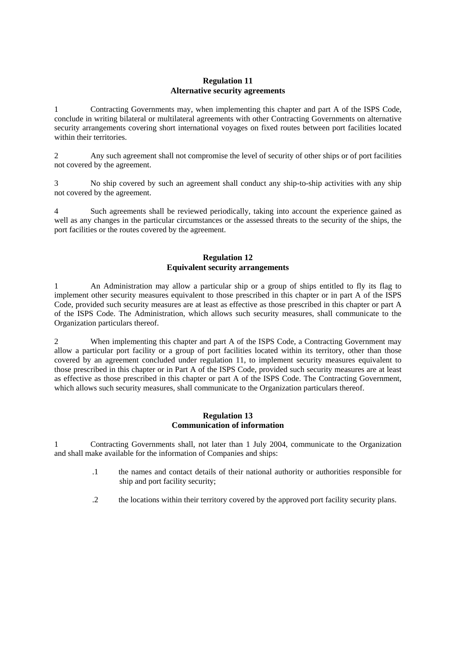# **Regulation 11 Alternative security agreements**

1 Contracting Governments may, when implementing this chapter and part A of the ISPS Code, conclude in writing bilateral or multilateral agreements with other Contracting Governments on alternative security arrangements covering short international voyages on fixed routes between port facilities located within their territories.

2 Any such agreement shall not compromise the level of security of other ships or of port facilities not covered by the agreement.

3 No ship covered by such an agreement shall conduct any ship-to-ship activities with any ship not covered by the agreement.

4 Such agreements shall be reviewed periodically, taking into account the experience gained as well as any changes in the particular circumstances or the assessed threats to the security of the ships, the port facilities or the routes covered by the agreement.

# **Regulation 12 Equivalent security arrangements**

1 An Administration may allow a particular ship or a group of ships entitled to fly its flag to implement other security measures equivalent to those prescribed in this chapter or in part A of the ISPS Code, provided such security measures are at least as effective as those prescribed in this chapter or part A of the ISPS Code. The Administration, which allows such security measures, shall communicate to the Organization particulars thereof.

2 When implementing this chapter and part A of the ISPS Code, a Contracting Government may allow a particular port facility or a group of port facilities located within its territory, other than those covered by an agreement concluded under regulation 11, to implement security measures equivalent to those prescribed in this chapter or in Part A of the ISPS Code, provided such security measures are at least as effective as those prescribed in this chapter or part A of the ISPS Code. The Contracting Government, which allows such security measures, shall communicate to the Organization particulars thereof.

### **Regulation 13 Communication of information**

1 Contracting Governments shall, not later than 1 July 2004, communicate to the Organization and shall make available for the information of Companies and ships:

- .1 the names and contact details of their national authority or authorities responsible for ship and port facility security;
- .2 the locations within their territory covered by the approved port facility security plans.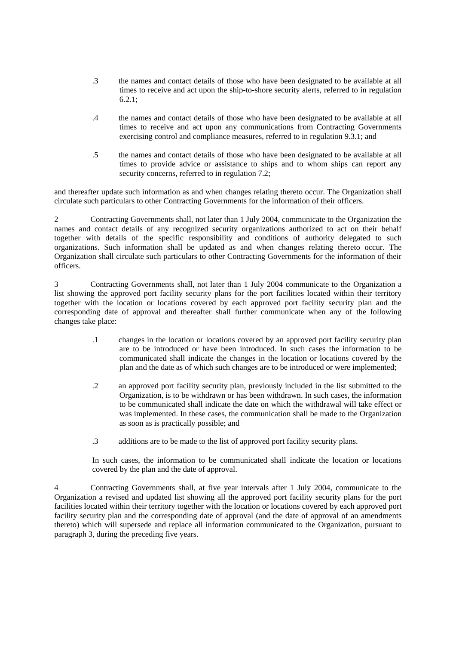- .3 the names and contact details of those who have been designated to be available at all times to receive and act upon the ship-to-shore security alerts, referred to in regulation 6.2.1;
- .4 the names and contact details of those who have been designated to be available at all times to receive and act upon any communications from Contracting Governments exercising control and compliance measures, referred to in regulation 9.3.1; and
- .5 the names and contact details of those who have been designated to be available at all times to provide advice or assistance to ships and to whom ships can report any security concerns, referred to in regulation 7.2;

and thereafter update such information as and when changes relating thereto occur. The Organization shall circulate such particulars to other Contracting Governments for the information of their officers.

2 Contracting Governments shall, not later than 1 July 2004, communicate to the Organization the names and contact details of any recognized security organizations authorized to act on their behalf together with details of the specific responsibility and conditions of authority delegated to such organizations. Such information shall be updated as and when changes relating thereto occur. The Organization shall circulate such particulars to other Contracting Governments for the information of their officers.

3 Contracting Governments shall, not later than 1 July 2004 communicate to the Organization a list showing the approved port facility security plans for the port facilities located within their territory together with the location or locations covered by each approved port facility security plan and the corresponding date of approval and thereafter shall further communicate when any of the following changes take place:

- .1 changes in the location or locations covered by an approved port facility security plan are to be introduced or have been introduced. In such cases the information to be communicated shall indicate the changes in the location or locations covered by the plan and the date as of which such changes are to be introduced or were implemented;
- .2 an approved port facility security plan, previously included in the list submitted to the Organization, is to be withdrawn or has been withdrawn. In such cases, the information to be communicated shall indicate the date on which the withdrawal will take effect or was implemented. In these cases, the communication shall be made to the Organization as soon as is practically possible; and
- .3 additions are to be made to the list of approved port facility security plans.

In such cases, the information to be communicated shall indicate the location or locations covered by the plan and the date of approval.

4 Contracting Governments shall, at five year intervals after 1 July 2004, communicate to the Organization a revised and updated list showing all the approved port facility security plans for the port facilities located within their territory together with the location or locations covered by each approved port facility security plan and the corresponding date of approval (and the date of approval of an amendments thereto) which will supersede and replace all information communicated to the Organization, pursuant to paragraph 3, during the preceding five years.